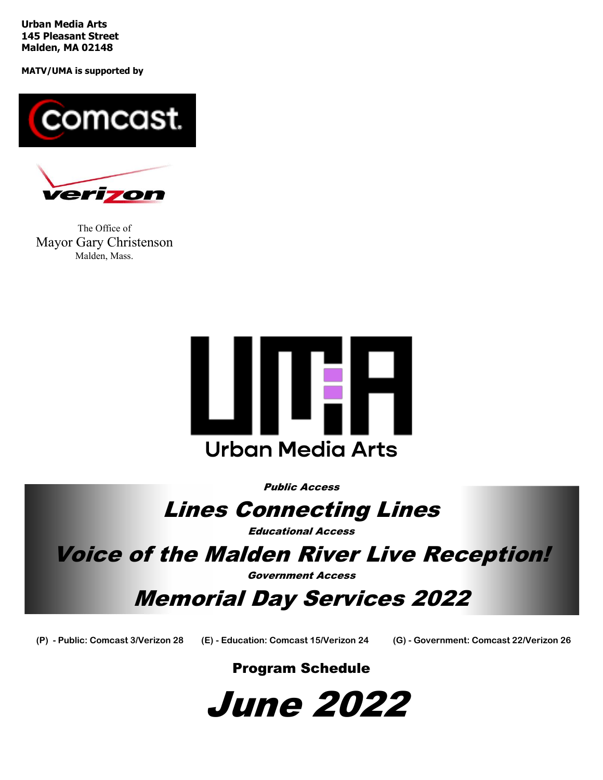**Urban Media Arts 145 Pleasant Street Malden, MA 02148**

**MATV/UMA is supported by**





The Office of Mayor Gary Christenson Malden, Mass.



Public Access

# Lines Connecting Lines

Educational Access

Voice of the Malden River Live Reception!

Government Access

Memorial Day Services 2022

**(P) - Public: Comcast 3/Verizon 28 (E) - Education: Comcast 15/Verizon 24 (G) - Government: Comcast 22/Verizon 26**

# Program Schedule

June 2022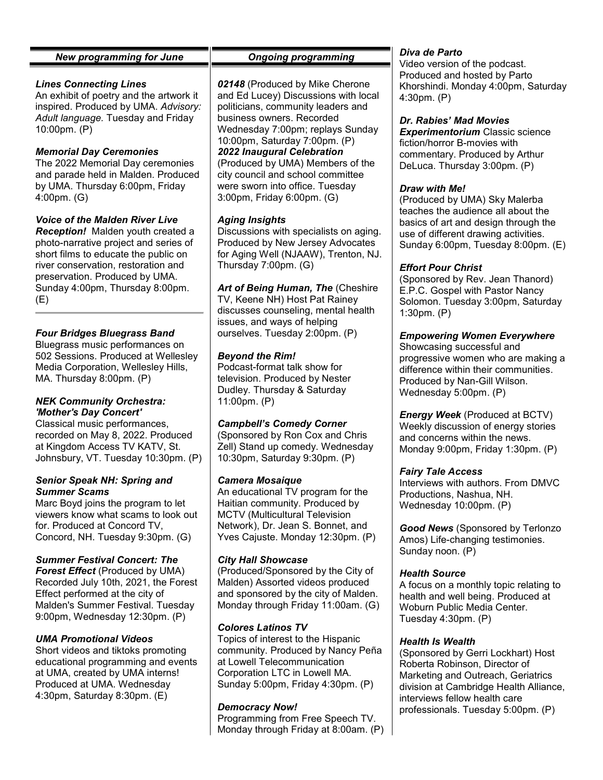# *New programming for June*

#### *Lines Connecting Lines*

An exhibit of poetry and the artwork it inspired. Produced by UMA. *Advisory: Adult language.* Tuesday and Friday 10:00pm. (P)

# *Memorial Day Ceremonies*

The 2022 Memorial Day ceremonies and parade held in Malden. Produced by UMA. Thursday 6:00pm, Friday 4:00pm. (G)

# *Voice of the Malden River Live*

*Reception!* Malden youth created a photo-narrative project and series of short films to educate the public on river conservation, restoration and preservation. Produced by UMA. Sunday 4:00pm, Thursday 8:00pm. (E)

# *Four Bridges Bluegrass Band*

Bluegrass music performances on 502 Sessions. Produced at Wellesley Media Corporation, Wellesley Hills, MA. Thursday 8:00pm. (P)

#### *NEK Community Orchestra: 'Mother's Day Concert'*

Classical music performances, recorded on May 8, 2022. Produced at Kingdom Access TV KATV, St. Johnsbury, VT. Tuesday 10:30pm. (P)

#### *Senior Speak NH: Spring and Summer Scams*

Marc Boyd joins the program to let viewers know what scams to look out for. Produced at Concord TV, Concord, NH. Tuesday 9:30pm. (G)

# *Summer Festival Concert: The*

*Forest Effect* (Produced by UMA) Recorded July 10th, 2021, the Forest Effect performed at the city of Malden's Summer Festival. Tuesday 9:00pm, Wednesday 12:30pm. (P)

# *UMA Promotional Videos*

Short videos and tiktoks promoting educational programming and events at UMA, created by UMA interns! Produced at UMA. Wednesday 4:30pm, Saturday 8:30pm. (E)

#### *Ongoing programming*

*02148* (Produced by Mike Cherone and Ed Lucey) Discussions with local politicians, community leaders and business owners. Recorded Wednesday 7:00pm; replays Sunday 10:00pm, Saturday 7:00pm. (P) *2022 Inaugural Celebration* (Produced by UMA) Members of the city council and school committee were sworn into office. Tuesday 3:00pm, Friday 6:00pm. (G)

#### *Aging Insights*

Discussions with specialists on aging. Produced by New Jersey Advocates for Aging Well (NJAAW), Trenton, NJ. Thursday 7:00pm. (G)

*Art of Being Human, The* (Cheshire TV, Keene NH) Host Pat Rainey discusses counseling, mental health issues, and ways of helping ourselves. Tuesday 2:00pm. (P)

#### *Beyond the Rim!*

Podcast-format talk show for television. Produced by Nester Dudley. Thursday & Saturday 11:00pm. (P)

#### *Campbell's Comedy Corner*

(Sponsored by Ron Cox and Chris Zell) Stand up comedy. Wednesday 10:30pm, Saturday 9:30pm. (P)

#### *Camera Mosaique*

An educational TV program for the Haitian community. Produced by MCTV (Multicultural Television Network), Dr. Jean S. Bonnet, and Yves Cajuste. Monday 12:30pm. (P)

#### *City Hall Showcase*

(Produced/Sponsored by the City of Malden) Assorted videos produced and sponsored by the city of Malden. Monday through Friday 11:00am. (G)

# *Colores Latinos TV*

Topics of interest to the Hispanic community. Produced by Nancy Peña at Lowell Telecommunication Corporation LTC in Lowell MA. Sunday 5:00pm, Friday 4:30pm. (P)

#### *Democracy Now!*

Programming from Free Speech TV. Monday through Friday at 8:00am. (P)

#### *Diva de Parto*

Video version of the podcast. Produced and hosted by Parto Khorshindi. Monday 4:00pm, Saturday 4:30pm. (P)

#### *Dr. Rabies' Mad Movies*

*Experimentorium* Classic science fiction/horror B-movies with commentary. Produced by Arthur DeLuca. Thursday 3:00pm. (P)

#### *Draw with Me!*

(Produced by UMA) Sky Malerba teaches the audience all about the basics of art and design through the use of different drawing activities. Sunday 6:00pm, Tuesday 8:00pm. (E)

#### *Effort Pour Christ*

(Sponsored by Rev. Jean Thanord) E.P.C. Gospel with Pastor Nancy Solomon. Tuesday 3:00pm, Saturday 1:30pm. (P)

# *Empowering Women Everywhere*

Showcasing successful and progressive women who are making a difference within their communities. Produced by Nan-Gill Wilson. Wednesday 5:00pm. (P)

*Energy Week* (Produced at BCTV) Weekly discussion of energy stories and concerns within the news. Monday 9:00pm, Friday 1:30pm. (P)

#### *Fairy Tale Access*

Interviews with authors. From DMVC Productions, Nashua, NH. Wednesday 10:00pm. (P)

*Good News* (Sponsored by Terlonzo Amos) Life-changing testimonies. Sunday noon. (P)

#### *Health Source*

A focus on a monthly topic relating to health and well being. Produced at Woburn Public Media Center. Tuesday 4:30pm. (P)

#### *Health Is Wealth*

(Sponsored by Gerri Lockhart) Host Roberta Robinson, Director of Marketing and Outreach, Geriatrics division at Cambridge Health Alliance, interviews fellow health care professionals. Tuesday 5:00pm. (P)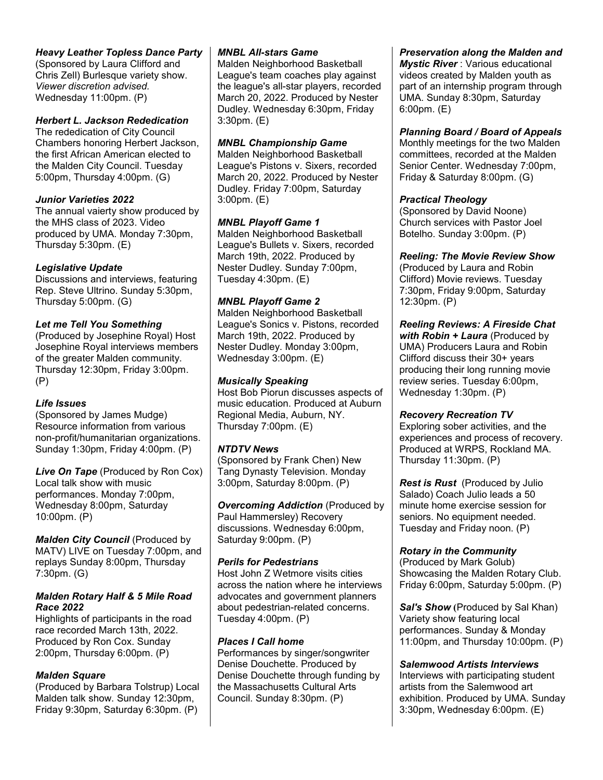# *Heavy Leather Topless Dance Party*

(Sponsored by Laura Clifford and Chris Zell) Burlesque variety show. *Viewer discretion advised.* Wednesday 11:00pm. (P)

# *Herbert L. Jackson Rededication*

The rededication of City Council Chambers honoring Herbert Jackson, the first African American elected to the Malden City Council. Tuesday 5:00pm, Thursday 4:00pm. (G)

#### *Junior Varieties 2022*

The annual vaierty show produced by the MHS class of 2023. Video produced by UMA. Monday 7:30pm, Thursday 5:30pm. (E)

# *Legislative Update*

Discussions and interviews, featuring Rep. Steve Ultrino. Sunday 5:30pm, Thursday 5:00pm. (G)

# *Let me Tell You Something*

(Produced by Josephine Royal) Host Josephine Royal interviews members of the greater Malden community. Thursday 12:30pm, Friday 3:00pm. (P)

# *Life Issues*

(Sponsored by James Mudge) Resource information from various non-profit/humanitarian organizations. Sunday 1:30pm, Friday 4:00pm. (P)

*Live On Tape* (Produced by Ron Cox) Local talk show with music performances. Monday 7:00pm, Wednesday 8:00pm, Saturday 10:00pm. (P)

*Malden City Council* (Produced by MATV) LIVE on Tuesday 7:00pm, and replays Sunday 8:00pm, Thursday 7:30pm. (G)

#### *Malden Rotary Half & 5 Mile Road Race 2022*

Highlights of participants in the road race recorded March 13th, 2022. Produced by Ron Cox. Sunday 2:00pm, Thursday 6:00pm. (P)

# *Malden Square*

(Produced by Barbara Tolstrup) Local Malden talk show. Sunday 12:30pm, Friday 9:30pm, Saturday 6:30pm. (P)

#### *MNBL All-stars Game*

Malden Neighborhood Basketball League's team coaches play against the league's all-star players, recorded March 20, 2022. Produced by Nester Dudley. Wednesday 6:30pm, Friday 3:30pm. (E)

# *MNBL Championship Game*

Malden Neighborhood Basketball League's Pistons v. Sixers, recorded March 20, 2022. Produced by Nester Dudley. Friday 7:00pm, Saturday 3:00pm. (E)

#### *MNBL Playoff Game 1*

Malden Neighborhood Basketball League's Bullets v. Sixers, recorded March 19th, 2022. Produced by Nester Dudley. Sunday 7:00pm, Tuesday 4:30pm. (E)

# *MNBL Playoff Game 2*

Malden Neighborhood Basketball League's Sonics v. Pistons, recorded March 19th, 2022. Produced by Nester Dudley. Monday 3:00pm, Wednesday 3:00pm. (E)

# *Musically Speaking*

Host Bob Piorun discusses aspects of music education. Produced at Auburn Regional Media, Auburn, NY. Thursday 7:00pm. (E)

# *NTDTV News*

(Sponsored by Frank Chen) New Tang Dynasty Television. Monday 3:00pm, Saturday 8:00pm. (P)

*Overcoming Addiction* (Produced by Paul Hammersley) Recovery discussions. Wednesday 6:00pm, Saturday 9:00pm. (P)

# *Perils for Pedestrians*

Host John Z Wetmore visits cities across the nation where he interviews advocates and government planners about pedestrian-related concerns. Tuesday 4:00pm. (P)

#### *Places I Call home*

Performances by singer/songwriter Denise Douchette. Produced by Denise Douchette through funding by the Massachusetts Cultural Arts Council. Sunday 8:30pm. (P)

*Preservation along the Malden and Mystic River* : Various educational videos created by Malden youth as part of an internship program through UMA. Sunday 8:30pm, Saturday 6:00pm. (E)

#### *Planning Board / Board of Appeals*

Monthly meetings for the two Malden committees, recorded at the Malden Senior Center. Wednesday 7:00pm, Friday & Saturday 8:00pm. (G)

# *Practical Theology*

(Sponsored by David Noone) Church services with Pastor Joel Botelho. Sunday 3:00pm. (P)

#### *Reeling: The Movie Review Show*

(Produced by Laura and Robin Clifford) Movie reviews. Tuesday 7:30pm, Friday 9:00pm, Saturday 12:30pm. (P)

# *Reeling Reviews: A Fireside Chat*

*with Robin + Laura* (Produced by UMA) Producers Laura and Robin Clifford discuss their 30+ years producing their long running movie review series. Tuesday 6:00pm, Wednesday 1:30pm. (P)

#### *Recovery Recreation TV*

Exploring sober activities, and the experiences and process of recovery. Produced at WRPS, Rockland MA. Thursday 11:30pm. (P)

*Rest is Rust* (Produced by Julio Salado) Coach Julio leads a 50 minute home exercise session for seniors. No equipment needed. Tuesday and Friday noon. (P)

# *Rotary in the Community*

(Produced by Mark Golub) Showcasing the Malden Rotary Club. Friday 6:00pm, Saturday 5:00pm. (P)

*Sal's Show* **(**Produced by Sal Khan) Variety show featuring local performances. Sunday & Monday 11:00pm, and Thursday 10:00pm. (P)

#### *Salemwood Artists Interviews*

Interviews with participating student artists from the Salemwood art exhibition. Produced by UMA. Sunday 3:30pm, Wednesday 6:00pm. (E)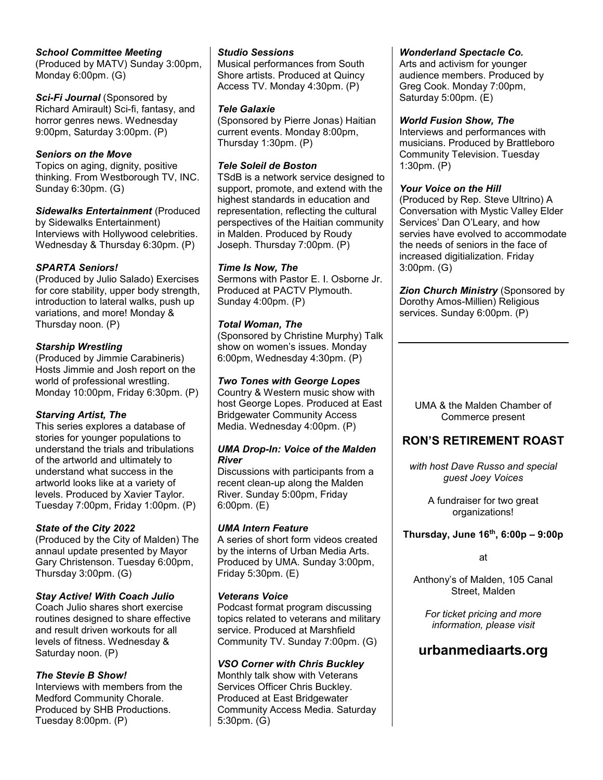# *School Committee Meeting*

(Produced by MATV) Sunday 3:00pm, Monday 6:00pm. (G)

*Sci-Fi Journal* (Sponsored by Richard Amirault) Sci-fi, fantasy, and horror genres news. Wednesday 9:00pm, Saturday 3:00pm. (P)

# *Seniors on the Move*

Topics on aging, dignity, positive thinking. From Westborough TV, INC. Sunday 6:30pm. (G)

# *Sidewalks Entertainment* (Produced

by Sidewalks Entertainment) Interviews with Hollywood celebrities. Wednesday & Thursday 6:30pm. (P)

# *SPARTA Seniors!*

(Produced by Julio Salado) Exercises for core stability, upper body strength, introduction to lateral walks, push up variations, and more! Monday & Thursday noon. (P)

# *Starship Wrestling*

(Produced by Jimmie Carabineris) Hosts Jimmie and Josh report on the world of professional wrestling. Monday 10:00pm, Friday 6:30pm. (P)

# *Starving Artist, The*

This series explores a database of stories for younger populations to understand the trials and tribulations of the artworld and ultimately to understand what success in the artworld looks like at a variety of levels. Produced by Xavier Taylor. Tuesday 7:00pm, Friday 1:00pm. (P)

# *State of the City 2022*

(Produced by the City of Malden) The annaul update presented by Mayor Gary Christenson. Tuesday 6:00pm, Thursday 3:00pm. (G)

# *Stay Active! With Coach Julio*

Coach Julio shares short exercise routines designed to share effective and result driven workouts for all levels of fitness. Wednesday & Saturday noon. (P)

# *The Stevie B Show!*

Interviews with members from the Medford Community Chorale. Produced by SHB Productions. Tuesday 8:00pm. (P)

#### *Studio Sessions*

Musical performances from South Shore artists. Produced at Quincy Access TV. Monday 4:30pm. (P)

#### *Tele Galaxie*

(Sponsored by Pierre Jonas) Haitian current events. Monday 8:00pm, Thursday 1:30pm. (P)

# *Tele Soleil de Boston*

TSdB is a network service designed to support, promote, and extend with the highest standards in education and representation, reflecting the cultural perspectives of the Haitian community in Malden. Produced by Roudy Joseph. Thursday 7:00pm. (P)

# *Time Is Now, The*

Sermons with Pastor E. I. Osborne Jr. Produced at PACTV Plymouth. Sunday 4:00pm. (P)

# *Total Woman, The*

(Sponsored by Christine Murphy) Talk show on women's issues. Monday 6:00pm, Wednesday 4:30pm. (P)

# *Two Tones with George Lopes*

Country & Western music show with host George Lopes. Produced at East Bridgewater Community Access Media. Wednesday 4:00pm. (P)

#### *UMA Drop-In: Voice of the Malden River*

Discussions with participants from a recent clean-up along the Malden River. Sunday 5:00pm, Friday 6:00pm. (E)

# *UMA Intern Feature*

A series of short form videos created by the interns of Urban Media Arts. Produced by UMA. Sunday 3:00pm, Friday 5:30pm. (E)

# *Veterans Voice*

Podcast format program discussing topics related to veterans and military service. Produced at Marshfield Community TV. Sunday 7:00pm. (G)

# *VSO Corner with Chris Buckley*

Monthly talk show with Veterans Services Officer Chris Buckley. Produced at East Bridgewater Community Access Media. Saturday 5:30pm. (G)

# *Wonderland Spectacle Co.*

Arts and activism for younger audience members. Produced by Greg Cook. Monday 7:00pm, Saturday 5:00pm. (E)

#### *World Fusion Show, The*

Interviews and performances with musicians. Produced by Brattleboro Community Television. Tuesday 1:30pm. (P)

#### *Your Voice on the Hill*

(Produced by Rep. Steve Ultrino) A Conversation with Mystic Valley Elder Services' Dan O'Leary, and how servies have evolved to accommodate the needs of seniors in the face of increased digitialization. Friday 3:00pm. (G)

**Zion Church Ministry (Sponsored by** Dorothy Amos-Millien) Religious services. Sunday 6:00pm. (P)

UMA & the Malden Chamber of Commerce present

# **RON'S RETIREMENT ROAST**

*with host Dave Russo and special guest Joey Voices*

> A fundraiser for two great organizations!

# **Thursday, June 16th, 6:00p – 9:00p**

# at

Anthony's of Malden, 105 Canal Street, Malden

*For ticket pricing and more information, please visit* 

# **urbanmediaarts.org**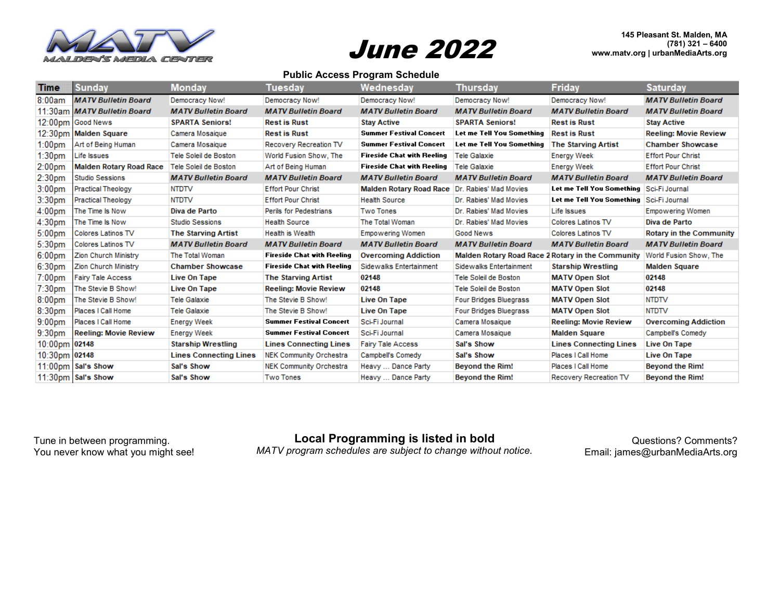

# June 2022

**145 Pleasant St. Malden, MA (781) 321 – 6400 www.matv.org | urbanMediaArts.org**

#### **Public Access Program Schedule**

| <b>Time</b>        | <b>Sunday</b>                  | Monday                        | Tuesday                           | Wednesday                      | Thursday                                          | Friday                                   | <b>Saturday</b>                |
|--------------------|--------------------------------|-------------------------------|-----------------------------------|--------------------------------|---------------------------------------------------|------------------------------------------|--------------------------------|
| 8:00am             | <b>MATV Bulletin Board</b>     | Democracy Now!                | Democracy Now!                    | Democracy Now!                 | Democracy Now!                                    | Democracy Now!                           | <b>MATV Bulletin Board</b>     |
|                    | 11:30am MATV Bulletin Board    | <b>MATV Bulletin Board</b>    | <b>MATV Bulletin Board</b>        | <b>MATV Bulletin Board</b>     | <b>MATV Bulletin Board</b>                        | <b>MATV Bulletin Board</b>               | <b>MATV Bulletin Board</b>     |
|                    | 12:00pm Good News              | <b>SPARTA Seniors!</b>        | <b>Rest is Rust</b>               | <b>Stay Active</b>             | <b>SPARTA Seniors!</b>                            | <b>Rest is Rust</b>                      | <b>Stay Active</b>             |
|                    | 12:30pm Malden Square          | Camera Mosaique               | <b>Rest is Rust</b>               | <b>Summer Festival Concert</b> | Let me Tell You Something                         | <b>Rest is Rust</b>                      | <b>Reeling: Movie Review</b>   |
| 1:00 <sub>pm</sub> | Art of Being Human             | Camera Mosaique               | Recovery Recreation TV            | <b>Summer Festival Concert</b> | Let me Tell You Something                         | <b>The Starving Artist</b>               | <b>Chamber Showcase</b>        |
| 1:30 <sub>pm</sub> | Life Issues                    | Tele Soleil de Boston         | World Fusion Show, The            | Fireside Chat with Reeling     | <b>Tele Galaxie</b>                               | <b>Energy Week</b>                       | <b>Effort Pour Christ</b>      |
| 2:00 <sub>pm</sub> | <b>Malden Rotary Road Race</b> | Tele Soleil de Boston         | Art of Being Human                | Fireside Chat with Reeling     | <b>Tele Galaxie</b>                               | <b>Energy Week</b>                       | <b>Effort Pour Christ</b>      |
| 2:30 <sub>pm</sub> | <b>Studio Sessions</b>         | <b>MATV Bulletin Board</b>    | <b>MATV Bulletin Board</b>        | <b>MATV Bulletin Board</b>     | <b>MATV Bulletin Board</b>                        | <b>MATV Bulletin Board</b>               | <b>MATV Bulletin Board</b>     |
| 3:00 <sub>pm</sub> | <b>Practical Theology</b>      | <b>NTDTV</b>                  | <b>Effort Pour Christ</b>         | <b>Malden Rotary Road Race</b> | Dr. Rabies' Mad Movies                            | Let me Tell You Something Sci-Fi Journal |                                |
| 3:30pm             | <b>Practical Theology</b>      | <b>NTDTV</b>                  | <b>Effort Pour Christ</b>         | <b>Health Source</b>           | Dr. Rabies' Mad Movies                            | Let me Tell You Something Sci-Fi Journal |                                |
| 4:00 <sub>pm</sub> | The Time Is Now                | Diva de Parto                 | Perils for Pedestrians            | <b>Two Tones</b>               | Dr. Rabies' Mad Movies                            | Life Issues                              | Empowering Women               |
| 4:30 <sub>pm</sub> | The Time Is Now                | <b>Studio Sessions</b>        | <b>Health Source</b>              | The Total Woman                | Dr. Rabies' Mad Movies                            | Colores Latinos TV                       | Diva de Parto                  |
| 5:00 <sub>pm</sub> | <b>Colores Latinos TV</b>      | <b>The Starving Artist</b>    | Health is Wealth                  | <b>Empowering Women</b>        | Good News                                         | Colores Latinos TV                       | <b>Rotary in the Community</b> |
| 5:30pm             | Colores Latinos TV             | <b>MATV Bulletin Board</b>    | <b>MATV Bulletin Board</b>        | <b>MATV Bulletin Board</b>     | <b>MATV Bulletin Board</b>                        | <b>MATV Bulletin Board</b>               | <b>MATV Bulletin Board</b>     |
| 6:00 <sub>pm</sub> | Zion Church Ministry           | The Total Woman               | <b>Fireside Chat with Reeling</b> | <b>Overcoming Addiction</b>    | Malden Rotary Road Race 2 Rotary in the Community |                                          | World Fusion Show, The         |
| 6:30pm             | Zion Church Ministry           | <b>Chamber Showcase</b>       | <b>Fireside Chat with Reeling</b> | Sidewalks Entertainment        | Sidewalks Entertainment                           | <b>Starship Wrestling</b>                | <b>Malden Square</b>           |
| $7:00$ pm          | <b>Fairy Tale Access</b>       | Live On Tape                  | <b>The Starving Artist</b>        | 02148                          | Tele Soleil de Boston                             | <b>MATV Open Slot</b>                    | 02148                          |
| 7:30 <sub>pm</sub> | The Stevie B Show!             | Live On Tape                  | <b>Reeling: Movie Review</b>      | 02148                          | Tele Soleil de Boston                             | <b>MATV Open Slot</b>                    | 02148                          |
| 8:00 <sub>pm</sub> | The Stevie B Show!             | <b>Tele Galaxie</b>           | The Stevie B Show!                | <b>Live On Tape</b>            | <b>Four Bridges Bluegrass</b>                     | <b>MATV Open Slot</b>                    | <b>NTDTV</b>                   |
| 8:30pm             | Places I Call Home             | <b>Tele Galaxie</b>           | The Stevie B Show!                | Live On Tape                   | <b>Four Bridges Bluegrass</b>                     | <b>MATV Open Slot</b>                    | <b>NTDTV</b>                   |
| $9:00$ pm          | Places I Call Home             | <b>Energy Week</b>            | <b>Summer Festival Concert</b>    | Sci-Fi Journal                 | Camera Mosaique                                   | <b>Reeling: Movie Review</b>             | <b>Overcoming Addiction</b>    |
| 9:30 <sub>pm</sub> | <b>Reeling: Movie Review</b>   | <b>Energy Week</b>            | <b>Summer Festival Concert</b>    | Sci-Fi Journal                 | Camera Mosaique                                   | <b>Malden Square</b>                     | Campbell's Comedy              |
| 10:00pm 02148      |                                | <b>Starship Wrestling</b>     | <b>Lines Connecting Lines</b>     | <b>Fairy Tale Access</b>       | Sal's Show                                        | <b>Lines Connecting Lines</b>            | <b>Live On Tape</b>            |
| 10:30pm 02148      |                                | <b>Lines Connecting Lines</b> | <b>NEK Community Orchestra</b>    | Campbell's Comedy              | Sal's Show                                        | Places I Call Home                       | Live On Tape                   |
|                    | 11:00pm Sal's Show             | Sal's Show                    | <b>NEK Community Orchestra</b>    | Heavy  Dance Party             | <b>Beyond the Rim!</b>                            | Places I Call Home                       | <b>Beyond the Rim!</b>         |
|                    | 11:30pm Sal's Show             | Sal's Show                    | <b>Two Tones</b>                  | Heavy  Dance Party             | <b>Bevond the Rim!</b>                            | Recovery Recreation TV                   | <b>Beyond the Rim!</b>         |

Tune in between programming. You never know what you might see! **Local Programming is listed in bold**

*MATV program schedules are subject to change without notice.*

Questions? Comments? Email: james@urbanMediaArts.org